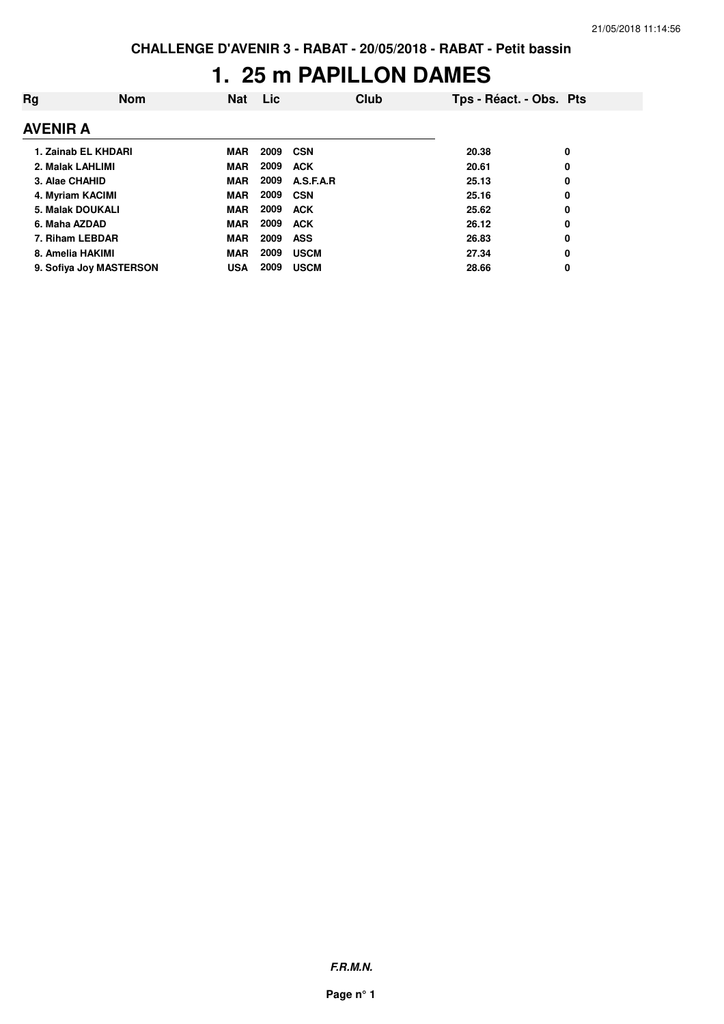## **1. 25 m PAPILLON DAMES**

| Rg              | <b>Nom</b>              | <b>Nat</b> | Lic. | Club        | Tps - Réact. - Obs. Pts |   |
|-----------------|-------------------------|------------|------|-------------|-------------------------|---|
| <b>AVENIR A</b> |                         |            |      |             |                         |   |
|                 | 1. Zainab EL KHDARI     | <b>MAR</b> | 2009 | <b>CSN</b>  | 20.38                   | 0 |
|                 | 2. Malak LAHLIMI        | <b>MAR</b> | 2009 | <b>ACK</b>  | 20.61                   | 0 |
| 3. Alae CHAHID  |                         | <b>MAR</b> | 2009 | A.S.F.A.R   | 25.13                   | 0 |
|                 | 4. Myriam KACIMI        | <b>MAR</b> | 2009 | CSN         | 25.16                   | 0 |
|                 | <b>5. Malak DOUKALI</b> | MAR        | 2009 | <b>ACK</b>  | 25.62                   | 0 |
| 6. Maha AZDAD   |                         | <b>MAR</b> | 2009 | <b>ACK</b>  | 26.12                   | 0 |
|                 | 7. Riham LEBDAR         | <b>MAR</b> | 2009 | <b>ASS</b>  | 26.83                   | 0 |
|                 | 8. Amelia HAKIMI        | <b>MAR</b> | 2009 | <b>USCM</b> | 27.34                   | 0 |
|                 | 9. Sofiya Joy MASTERSON | <b>USA</b> | 2009 | <b>USCM</b> | 28.66                   | 0 |

**F.R.M.N.**

**Page n° 1**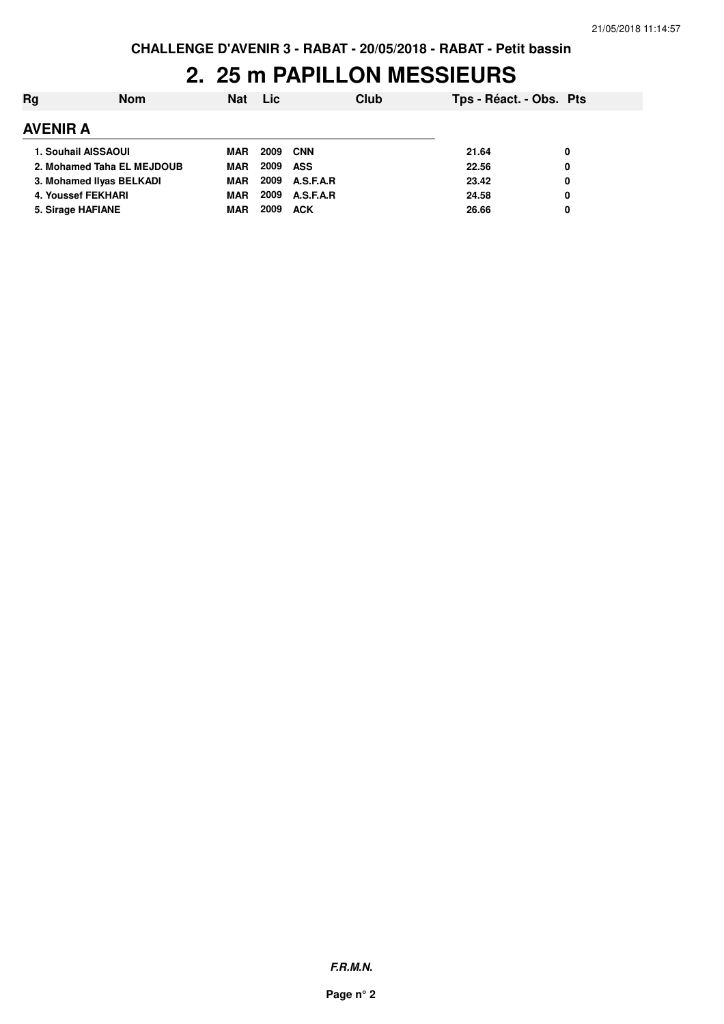### **2. 25 m PAPILLON MESSIEURS**

| Rg              | <b>Nom</b>                 | <b>Nat</b> | <b>Lic</b> | Club             | Tps - Réact. - Obs. Pts |   |
|-----------------|----------------------------|------------|------------|------------------|-------------------------|---|
| <b>AVENIR A</b> |                            |            |            |                  |                         |   |
|                 | 1. Souhail AISSAOUI        | <b>MAR</b> | 2009       | CNN              | 21.64                   | 0 |
|                 | 2. Mohamed Taha EL MEJDOUB | <b>MAR</b> | 2009       | ASS              | 22.56                   | 0 |
|                 | 3. Mohamed IIvas BELKADI   | <b>MAR</b> | 2009       | <b>A.S.F.A.R</b> | 23.42                   | 0 |
|                 | 4. Youssef FEKHARI         | <b>MAR</b> | 2009       | A.S.F.A.R        | 24.58                   | 0 |
|                 | 5. Sirage HAFIANE          | <b>MAR</b> | 2009       | <b>ACK</b>       | 26.66                   | 0 |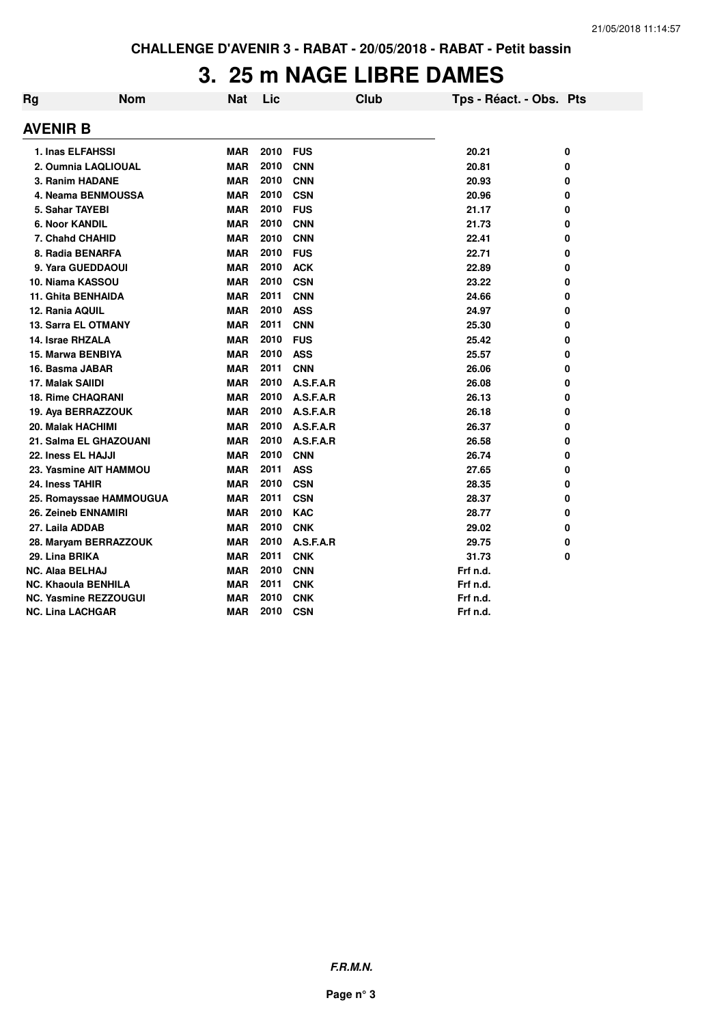#### **3. 25 m NAGE LIBRE DAMES**

| Rg | <b>Nom</b>                   | <b>Nat</b> | Lic  | <b>Club</b> | Tps - Réact. - Obs. Pts |   |
|----|------------------------------|------------|------|-------------|-------------------------|---|
|    | <b>AVENIR B</b>              |            |      |             |                         |   |
|    | 1. Inas ELFAHSSI             | <b>MAR</b> | 2010 | <b>FUS</b>  | 20.21                   | 0 |
|    | 2. Oumnia LAQLIOUAL          | <b>MAR</b> | 2010 | <b>CNN</b>  | 20.81                   | 0 |
|    | 3. Ranim HADANE              | <b>MAR</b> | 2010 | <b>CNN</b>  | 20.93                   | 0 |
|    | 4. Neama BENMOUSSA           | <b>MAR</b> | 2010 | <b>CSN</b>  | 20.96                   | 0 |
|    | 5. Sahar TAYEBI              | <b>MAR</b> | 2010 | <b>FUS</b>  | 21.17                   | 0 |
|    | <b>6. Noor KANDIL</b>        | <b>MAR</b> | 2010 | <b>CNN</b>  | 21.73                   | 0 |
|    | 7. Chahd CHAHID              | <b>MAR</b> | 2010 | <b>CNN</b>  | 22.41                   | 0 |
|    | 8. Radia BENARFA             | <b>MAR</b> | 2010 | <b>FUS</b>  | 22.71                   | 0 |
|    | 9. Yara GUEDDAOUI            | <b>MAR</b> | 2010 | <b>ACK</b>  | 22.89                   | 0 |
|    | 10. Niama KASSOU             | <b>MAR</b> | 2010 | <b>CSN</b>  | 23.22                   | 0 |
|    | <b>11. Ghita BENHAIDA</b>    | <b>MAR</b> | 2011 | <b>CNN</b>  | 24.66                   | 0 |
|    | 12. Rania AQUIL              | <b>MAR</b> | 2010 | <b>ASS</b>  | 24.97                   | 0 |
|    | <b>13. Sarra EL OTMANY</b>   | <b>MAR</b> | 2011 | <b>CNN</b>  | 25.30                   | 0 |
|    | 14. Israe RHZALA             | <b>MAR</b> | 2010 | <b>FUS</b>  | 25.42                   | 0 |
|    | 15. Marwa BENBIYA            | <b>MAR</b> | 2010 | <b>ASS</b>  | 25.57                   | 0 |
|    | 16. Basma JABAR              | <b>MAR</b> | 2011 | <b>CNN</b>  | 26.06                   | 0 |
|    | 17. Malak SAIIDI             | <b>MAR</b> | 2010 | A.S.F.A.R   | 26.08                   | 0 |
|    | <b>18. Rime CHAQRANI</b>     | <b>MAR</b> | 2010 | A.S.F.A.R   | 26.13                   | 0 |
|    | 19. Aya BERRAZZOUK           | <b>MAR</b> | 2010 | A.S.F.A.R   | 26.18                   | 0 |
|    | <b>20. Malak HACHIMI</b>     | <b>MAR</b> | 2010 | A.S.F.A.R   | 26.37                   | 0 |
|    | 21. Salma EL GHAZOUANI       | <b>MAR</b> | 2010 | A.S.F.A.R   | 26.58                   | 0 |
|    | 22. Iness EL HAJJI           | <b>MAR</b> | 2010 | <b>CNN</b>  | 26.74                   | 0 |
|    | 23. Yasmine AIT HAMMOU       | <b>MAR</b> | 2011 | <b>ASS</b>  | 27.65                   | 0 |
|    | 24. Iness TAHIR              | <b>MAR</b> | 2010 | <b>CSN</b>  | 28.35                   | 0 |
|    | 25. Romayssae HAMMOUGUA      | <b>MAR</b> | 2011 | <b>CSN</b>  | 28.37                   | 0 |
|    | 26. Zeineb ENNAMIRI          | <b>MAR</b> | 2010 | <b>KAC</b>  | 28.77                   | 0 |
|    | 27. Laila ADDAB              | <b>MAR</b> | 2010 | <b>CNK</b>  | 29.02                   | 0 |
|    | 28. Maryam BERRAZZOUK        | <b>MAR</b> | 2010 | A.S.F.A.R   | 29.75                   | 0 |
|    | 29. Lina BRIKA               | <b>MAR</b> | 2011 | <b>CNK</b>  | 31.73                   | 0 |
|    | NC. Alaa BELHAJ              | <b>MAR</b> | 2010 | <b>CNN</b>  | Frf n.d.                |   |
|    | <b>NC. Khaoula BENHILA</b>   | <b>MAR</b> | 2011 | <b>CNK</b>  | Frf n.d.                |   |
|    | <b>NC. Yasmine REZZOUGUI</b> | <b>MAR</b> | 2010 | <b>CNK</b>  | Frf n.d.                |   |
|    | <b>NC. Lina LACHGAR</b>      | <b>MAR</b> | 2010 | <b>CSN</b>  | Frf n.d.                |   |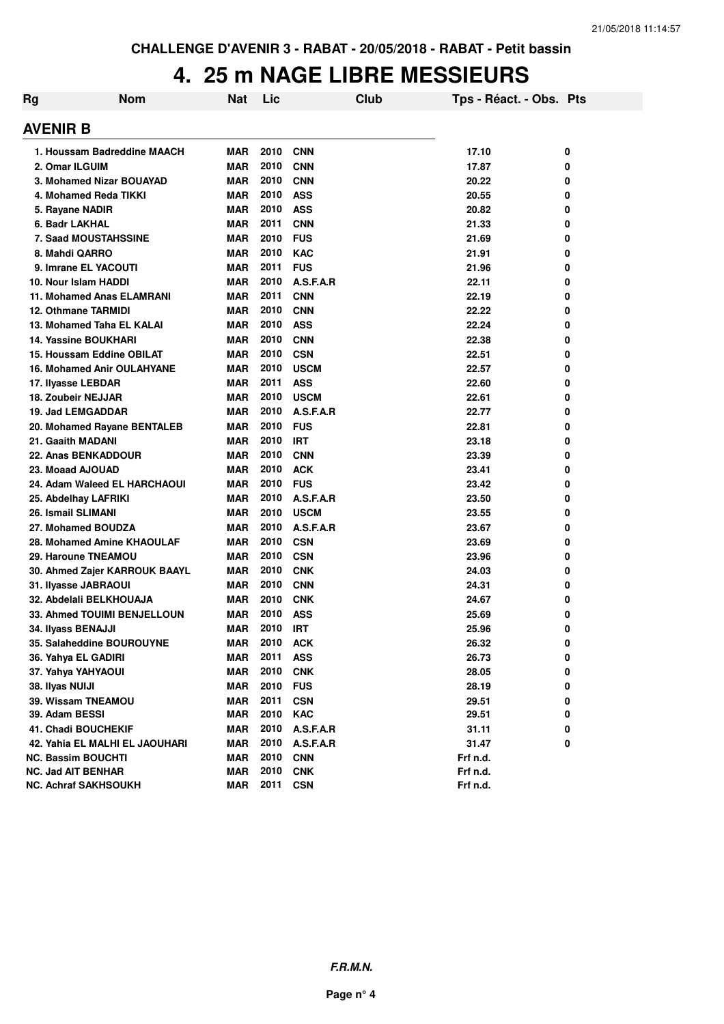### **4. 25 m NAGE LIBRE MESSIEURS**

| Rg | <b>Nom</b>                         | Nat        | Lic  |             | <b>Club</b> | Tps - Réact. - Obs. Pts |   |
|----|------------------------------------|------------|------|-------------|-------------|-------------------------|---|
|    | AVENIR B                           |            |      |             |             |                         |   |
|    | 1. Houssam Badreddine MAACH        | <b>MAR</b> | 2010 | <b>CNN</b>  |             | 17.10                   | 0 |
|    | 2. Omar ILGUIM                     | <b>MAR</b> | 2010 | <b>CNN</b>  |             | 17.87                   | 0 |
|    | 3. Mohamed Nizar BOUAYAD           | <b>MAR</b> | 2010 | <b>CNN</b>  |             | 20.22                   | 0 |
|    | 4. Mohamed Reda TIKKI              | <b>MAR</b> | 2010 | <b>ASS</b>  |             | 20.55                   | 0 |
|    | 5. Rayane NADIR                    | <b>MAR</b> | 2010 | <b>ASS</b>  |             | 20.82                   | 0 |
|    | 6. Badr LAKHAL                     | <b>MAR</b> | 2011 | <b>CNN</b>  |             | 21.33                   | 0 |
|    | <b>7. Saad MOUSTAHSSINE</b>        | <b>MAR</b> | 2010 | <b>FUS</b>  |             | 21.69                   | 0 |
|    | 8. Mahdi QARRO                     | <b>MAR</b> | 2010 | <b>KAC</b>  |             | 21.91                   | 0 |
|    | 9. Imrane EL YACOUTI               | <b>MAR</b> | 2011 | <b>FUS</b>  |             | 21.96                   | 0 |
|    | 10. Nour Islam HADDI               | <b>MAR</b> | 2010 | A.S.F.A.R   |             | 22.11                   | 0 |
|    | <b>11. Mohamed Anas ELAMRANI</b>   | <b>MAR</b> | 2011 | <b>CNN</b>  |             | 22.19                   | 0 |
|    | 12. Othmane TARMIDI                | <b>MAR</b> | 2010 | <b>CNN</b>  |             | 22.22                   | 0 |
|    | 13. Mohamed Taha EL KALAI          | <b>MAR</b> | 2010 | <b>ASS</b>  |             | 22.24                   | 0 |
|    | 14. Yassine BOUKHARI               | <b>MAR</b> | 2010 | <b>CNN</b>  |             | 22.38                   | 0 |
|    | 15. Houssam Eddine OBILAT          | <b>MAR</b> | 2010 | <b>CSN</b>  |             | 22.51                   | 0 |
|    | <b>16. Mohamed Anir OULAHYANE</b>  | <b>MAR</b> | 2010 | <b>USCM</b> |             | 22.57                   | 0 |
|    | 17. Ilyasse LEBDAR                 | <b>MAR</b> | 2011 | <b>ASS</b>  |             | 22.60                   | 0 |
|    | 18. Zoubeir NEJJAR                 | <b>MAR</b> | 2010 | <b>USCM</b> |             | 22.61                   | 0 |
|    | 19. Jad LEMGADDAR                  | <b>MAR</b> | 2010 | A.S.F.A.R   |             | 22.77                   | 0 |
|    | 20. Mohamed Rayane BENTALEB        | MAR        | 2010 | <b>FUS</b>  |             | 22.81                   | 0 |
|    | 21. Gaaith MADANI                  | <b>MAR</b> | 2010 | <b>IRT</b>  |             | 23.18                   | 0 |
|    | <b>22. Anas BENKADDOUR</b>         | <b>MAR</b> | 2010 | <b>CNN</b>  |             | 23.39                   | 0 |
|    | 23. Moaad AJOUAD                   | MAR        | 2010 | <b>ACK</b>  |             | 23.41                   | 0 |
|    | 24. Adam Waleed EL HARCHAOUI       | MAR        | 2010 | <b>FUS</b>  |             | 23.42                   | 0 |
|    | 25. Abdelhay LAFRIKI               | <b>MAR</b> | 2010 | A.S.F.A.R   |             | 23.50                   | 0 |
|    | 26. Ismail SLIMANI                 | <b>MAR</b> | 2010 | <b>USCM</b> |             | 23.55                   | 0 |
|    | 27. Mohamed BOUDZA                 | MAR        | 2010 | A.S.F.A.R   |             | 23.67                   | 0 |
|    | 28. Mohamed Amine KHAOULAF         | MAR        | 2010 | <b>CSN</b>  |             | 23.69                   | 0 |
|    | 29. Haroune TNEAMOU                | <b>MAR</b> | 2010 | <b>CSN</b>  |             | 23.96                   | 0 |
|    | 30. Ahmed Zajer KARROUK BAAYL      | MAR        | 2010 | <b>CNK</b>  |             | 24.03                   | 0 |
|    | 31. Ilyasse JABRAOUI               | <b>MAR</b> | 2010 | <b>CNN</b>  |             | 24.31                   | 0 |
|    | 32. Abdelali BELKHOUAJA            | <b>MAR</b> | 2010 | <b>CNK</b>  |             | 24.67                   | 0 |
|    | <b>33. Ahmed TOUIMI BENJELLOUN</b> | MAR        | 2010 | <b>ASS</b>  |             | 25.69                   | 0 |
|    | 34. Ilyass BENAJJI                 | MAR        | 2010 | IRT         |             | 25.96                   | 0 |
|    | 35. Salaheddine BOUROUYNE          | <b>MAR</b> | 2010 | <b>ACK</b>  |             | 26.32                   | 0 |
|    | 36. Yahya EL GADIRI                | <b>MAR</b> | 2011 | <b>ASS</b>  |             | 26.73                   | 0 |
|    | 37. Yahya YAHYAOUI                 | <b>MAR</b> | 2010 | <b>CNK</b>  |             | 28.05                   | 0 |
|    | 38. Ilyas NUIJI                    | <b>MAR</b> | 2010 | <b>FUS</b>  |             | 28.19                   | 0 |
|    | 39. Wissam TNEAMOU                 | <b>MAR</b> | 2011 | <b>CSN</b>  |             | 29.51                   | 0 |
|    | 39. Adam BESSI                     | MAR        | 2010 | KAC         |             | 29.51                   | 0 |
|    | 41. Chadi BOUCHEKIF                | <b>MAR</b> | 2010 | A.S.F.A.R   |             | 31.11                   | 0 |
|    | 42. Yahia EL MALHI EL JAOUHARI     | <b>MAR</b> | 2010 | A.S.F.A.R   |             | 31.47                   | 0 |
|    | NC. Bassim BOUCHTI                 | <b>MAR</b> | 2010 | <b>CNN</b>  |             | Frf n.d.                |   |
|    | <b>NC. Jad AIT BENHAR</b>          | <b>MAR</b> | 2010 | <b>CNK</b>  |             | Frf n.d.                |   |
|    | <b>NC. Achraf SAKHSOUKH</b>        | <b>MAR</b> | 2011 | <b>CSN</b>  |             | Frf n.d.                |   |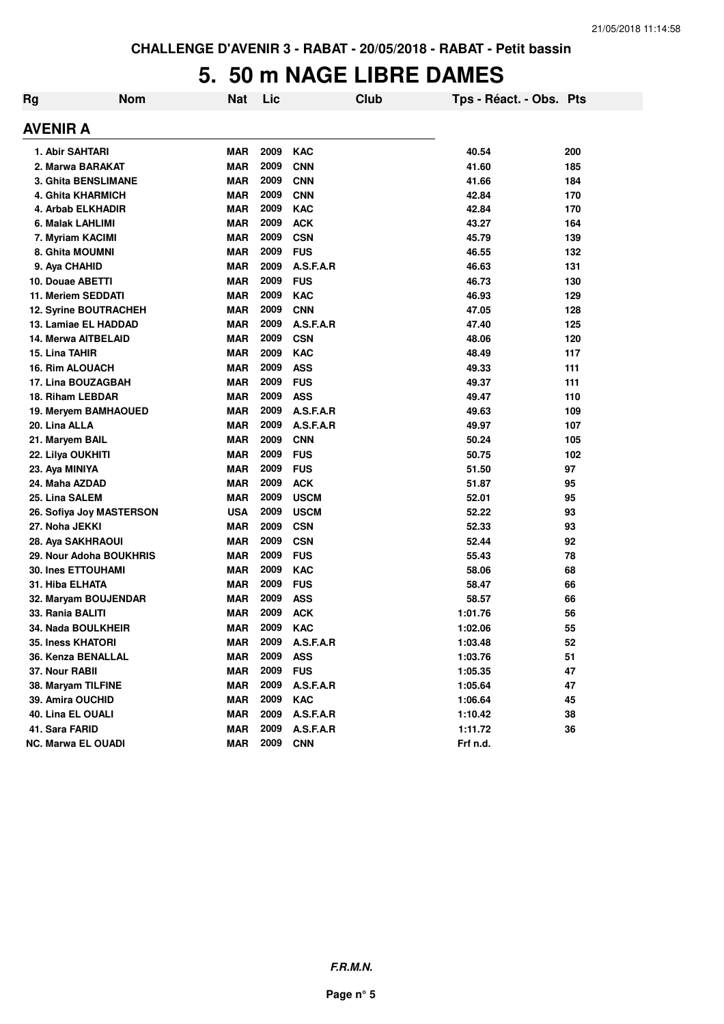## **5. 50 m NAGE LIBRE DAMES**

| Rg | <b>Nom</b>                   | <b>Nat</b> | Lic  | <b>Club</b> | Tps - Réact. - Obs. Pts |     |
|----|------------------------------|------------|------|-------------|-------------------------|-----|
|    | AVENIR A                     |            |      |             |                         |     |
|    | 1. Abir SAHTARI              | MAR        | 2009 | <b>KAC</b>  | 40.54                   | 200 |
|    | 2. Marwa BARAKAT             | <b>MAR</b> | 2009 | <b>CNN</b>  | 41.60                   | 185 |
|    | <b>3. Ghita BENSLIMANE</b>   | <b>MAR</b> | 2009 | <b>CNN</b>  | 41.66                   | 184 |
|    | 4. Ghita KHARMICH            | <b>MAR</b> | 2009 | <b>CNN</b>  | 42.84                   | 170 |
|    | 4. Arbab ELKHADIR            | <b>MAR</b> | 2009 | <b>KAC</b>  | 42.84                   | 170 |
|    | 6. Malak LAHLIMI             | <b>MAR</b> | 2009 | <b>ACK</b>  | 43.27                   | 164 |
|    | 7. Myriam KACIMI             | <b>MAR</b> | 2009 | <b>CSN</b>  | 45.79                   | 139 |
|    | 8. Ghita MOUMNI              | <b>MAR</b> | 2009 | <b>FUS</b>  | 46.55                   | 132 |
|    | 9. Aya CHAHID                | <b>MAR</b> | 2009 | A.S.F.A.R   | 46.63                   | 131 |
|    | 10. Douae ABETTI             | <b>MAR</b> | 2009 | <b>FUS</b>  | 46.73                   | 130 |
|    | 11. Meriem SEDDATI           | <b>MAR</b> | 2009 | <b>KAC</b>  | 46.93                   | 129 |
|    | <b>12. Syrine BOUTRACHEH</b> | <b>MAR</b> | 2009 | <b>CNN</b>  | 47.05                   | 128 |
|    | 13. Lamiae EL HADDAD         | <b>MAR</b> | 2009 | A.S.F.A.R   | 47.40                   | 125 |
|    | <b>14. Merwa AITBELAID</b>   | <b>MAR</b> | 2009 | <b>CSN</b>  | 48.06                   | 120 |
|    | 15. Lina TAHIR               | <b>MAR</b> | 2009 | <b>KAC</b>  | 48.49                   | 117 |
|    | <b>16. Rim ALOUACH</b>       | <b>MAR</b> | 2009 | <b>ASS</b>  | 49.33                   | 111 |
|    | 17. Lina BOUZAGBAH           | <b>MAR</b> | 2009 | <b>FUS</b>  | 49.37                   | 111 |
|    | 18. Riham LEBDAR             | <b>MAR</b> | 2009 | <b>ASS</b>  | 49.47                   | 110 |
|    | 19. Meryem BAMHAOUED         | <b>MAR</b> | 2009 | A.S.F.A.R   | 49.63                   | 109 |
|    | 20. Lina ALLA                | <b>MAR</b> | 2009 | A.S.F.A.R   | 49.97                   | 107 |
|    | 21. Maryem BAIL              | <b>MAR</b> | 2009 | <b>CNN</b>  | 50.24                   | 105 |
|    | 22. Lilya OUKHITI            | <b>MAR</b> | 2009 | <b>FUS</b>  | 50.75                   | 102 |
|    | 23. Aya MINIYA               | <b>MAR</b> | 2009 | <b>FUS</b>  | 51.50                   | 97  |
|    | 24. Maha AZDAD               | <b>MAR</b> | 2009 | <b>ACK</b>  | 51.87                   | 95  |
|    | 25. Lina SALEM               | MAR        | 2009 | <b>USCM</b> | 52.01                   | 95  |
|    | 26. Sofiya Joy MASTERSON     | <b>USA</b> | 2009 | <b>USCM</b> | 52.22                   | 93  |
|    | 27. Noha JEKKI               | <b>MAR</b> | 2009 | <b>CSN</b>  | 52.33                   | 93  |
|    | 28. Aya SAKHRAOUI            | <b>MAR</b> | 2009 | <b>CSN</b>  | 52.44                   | 92  |
|    | 29. Nour Adoha BOUKHRIS      | <b>MAR</b> | 2009 | <b>FUS</b>  | 55.43                   | 78  |
|    | <b>30. Ines ETTOUHAMI</b>    | <b>MAR</b> | 2009 | <b>KAC</b>  | 58.06                   | 68  |
|    | 31. Hiba ELHATA              | <b>MAR</b> | 2009 | <b>FUS</b>  | 58.47                   | 66  |
|    | 32. Maryam BOUJENDAR         | <b>MAR</b> | 2009 | <b>ASS</b>  | 58.57                   | 66  |
|    | 33. Rania BALITI             | <b>MAR</b> | 2009 | <b>ACK</b>  | 1:01.76                 | 56  |
|    | 34. Nada BOULKHEIR           | <b>MAR</b> | 2009 | <b>KAC</b>  | 1:02.06                 | 55  |
|    | <b>35. Iness KHATORI</b>     | <b>MAR</b> | 2009 | A.S.F.A.R   | 1:03.48                 | 52  |
|    | 36. Kenza BENALLAL           | <b>MAR</b> | 2009 | <b>ASS</b>  | 1:03.76                 | 51  |
|    | 37. Nour RABII               | <b>MAR</b> | 2009 | <b>FUS</b>  | 1:05.35                 | 47  |
|    | 38. Maryam TILFINE           | <b>MAR</b> | 2009 | A.S.F.A.R   | 1:05.64                 | 47  |
|    | 39. Amira OUCHID             | <b>MAR</b> | 2009 | <b>KAC</b>  | 1:06.64                 | 45  |
|    | 40. Lina EL OUALI            | <b>MAR</b> | 2009 | A.S.F.A.R   | 1:10.42                 | 38  |
|    | 41. Sara FARID               | <b>MAR</b> | 2009 | A.S.F.A.R   | 1:11.72                 | 36  |
|    | <b>NC. Marwa EL OUADI</b>    | <b>MAR</b> | 2009 | <b>CNN</b>  | Frf n.d.                |     |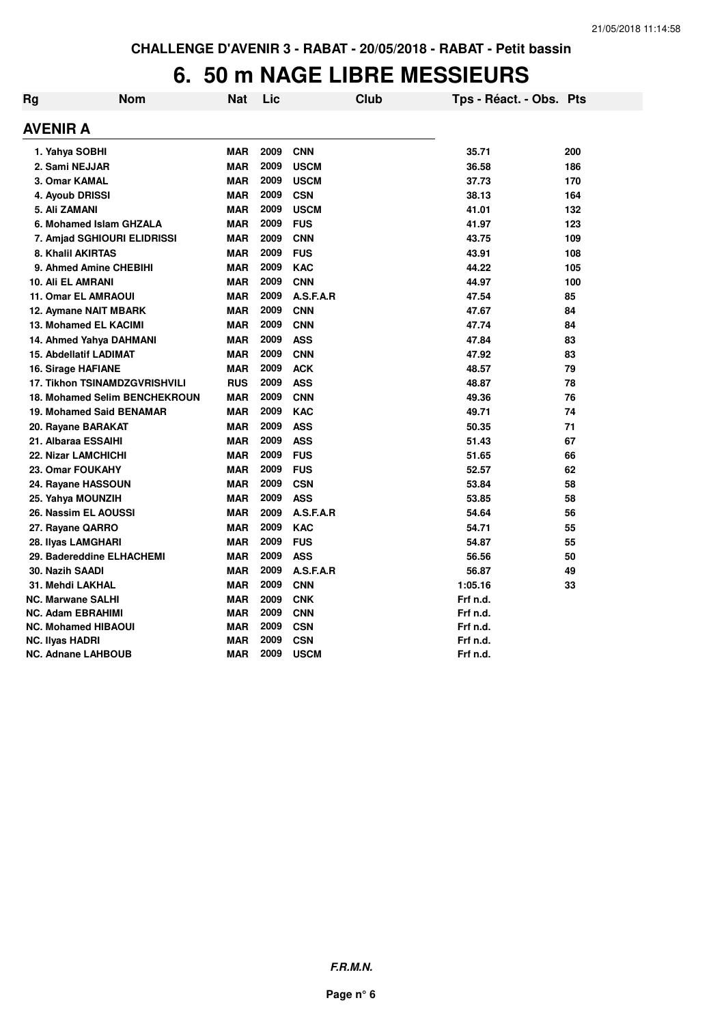### **6. 50 m NAGE LIBRE MESSIEURS**

| Rg | <b>Nom</b>                           | <b>Nat</b> | Lic  |             | <b>Club</b> | Tps - Réact. - Obs. Pts |     |
|----|--------------------------------------|------------|------|-------------|-------------|-------------------------|-----|
|    | <b>AVENIR A</b>                      |            |      |             |             |                         |     |
|    | 1. Yahya SOBHI                       | <b>MAR</b> | 2009 | <b>CNN</b>  |             | 35.71                   | 200 |
|    | 2. Sami NEJJAR                       | <b>MAR</b> | 2009 | <b>USCM</b> |             | 36.58                   | 186 |
|    | 3. Omar KAMAL                        | <b>MAR</b> | 2009 | <b>USCM</b> |             | 37.73                   | 170 |
|    | 4. Ayoub DRISSI                      | <b>MAR</b> | 2009 | <b>CSN</b>  |             | 38.13                   | 164 |
|    | 5. Ali ZAMANI                        | <b>MAR</b> | 2009 | <b>USCM</b> |             | 41.01                   | 132 |
|    | 6. Mohamed Islam GHZALA              | <b>MAR</b> | 2009 | <b>FUS</b>  |             | 41.97                   | 123 |
|    | 7. Amjad SGHIOURI ELIDRISSI          | <b>MAR</b> | 2009 | <b>CNN</b>  |             | 43.75                   | 109 |
|    | 8. Khalil AKIRTAS                    | <b>MAR</b> | 2009 | <b>FUS</b>  |             | 43.91                   | 108 |
|    | 9. Ahmed Amine CHEBIHI               | <b>MAR</b> | 2009 | <b>KAC</b>  |             | 44.22                   | 105 |
|    | <b>10. Ali EL AMRANI</b>             | <b>MAR</b> | 2009 | <b>CNN</b>  |             | 44.97                   | 100 |
|    | <b>11. Omar EL AMRAOUI</b>           | <b>MAR</b> | 2009 | A.S.F.A.R   |             | 47.54                   | 85  |
|    | 12. Aymane NAIT MBARK                | <b>MAR</b> | 2009 | <b>CNN</b>  |             | 47.67                   | 84  |
|    | 13. Mohamed EL KACIMI                | <b>MAR</b> | 2009 | <b>CNN</b>  |             | 47.74                   | 84  |
|    | 14. Ahmed Yahya DAHMANI              | <b>MAR</b> | 2009 | <b>ASS</b>  |             | 47.84                   | 83  |
|    | <b>15. Abdellatif LADIMAT</b>        | <b>MAR</b> | 2009 | <b>CNN</b>  |             | 47.92                   | 83  |
|    | 16. Sirage HAFIANE                   | <b>MAR</b> | 2009 | <b>ACK</b>  |             | 48.57                   | 79  |
|    | <b>17. Tikhon TSINAMDZGVRISHVILI</b> | <b>RUS</b> | 2009 | <b>ASS</b>  |             | 48.87                   | 78  |
|    | <b>18. Mohamed Selim BENCHEKROUN</b> | <b>MAR</b> | 2009 | <b>CNN</b>  |             | 49.36                   | 76  |
|    | 19. Mohamed Said BENAMAR             | <b>MAR</b> | 2009 | <b>KAC</b>  |             | 49.71                   | 74  |
|    | 20. Rayane BARAKAT                   | <b>MAR</b> | 2009 | <b>ASS</b>  |             | 50.35                   | 71  |
|    | 21. Albaraa ESSAIHI                  | <b>MAR</b> | 2009 | <b>ASS</b>  |             | 51.43                   | 67  |
|    | <b>22. Nizar LAMCHICHI</b>           | <b>MAR</b> | 2009 | <b>FUS</b>  |             | 51.65                   | 66  |
|    | 23. Omar FOUKAHY                     | <b>MAR</b> | 2009 | <b>FUS</b>  |             | 52.57                   | 62  |
|    | 24. Rayane HASSOUN                   | <b>MAR</b> | 2009 | <b>CSN</b>  |             | 53.84                   | 58  |
|    | 25. Yahya MOUNZIH                    | <b>MAR</b> | 2009 | <b>ASS</b>  |             | 53.85                   | 58  |
|    | 26. Nassim EL AOUSSI                 | <b>MAR</b> | 2009 | A.S.F.A.R   |             | 54.64                   | 56  |
|    | 27. Rayane QARRO                     | <b>MAR</b> | 2009 | <b>KAC</b>  |             | 54.71                   | 55  |
|    | 28. Ilyas LAMGHARI                   | <b>MAR</b> | 2009 | <b>FUS</b>  |             | 54.87                   | 55  |
|    | 29. Badereddine ELHACHEMI            | <b>MAR</b> | 2009 | <b>ASS</b>  |             | 56.56                   | 50  |
|    | 30. Nazih SAADI                      | <b>MAR</b> | 2009 | A.S.F.A.R   |             | 56.87                   | 49  |
|    | 31. Mehdi LAKHAL                     | <b>MAR</b> | 2009 | <b>CNN</b>  |             | 1:05.16                 | 33  |
|    | <b>NC. Marwane SALHI</b>             | <b>MAR</b> | 2009 | <b>CNK</b>  |             | Frf n.d.                |     |
|    | NC. Adam EBRAHIMI                    | <b>MAR</b> | 2009 | <b>CNN</b>  |             | Frf n.d.                |     |
|    | <b>NC. Mohamed HIBAOUI</b>           | <b>MAR</b> | 2009 | <b>CSN</b>  |             | Frf n.d.                |     |
|    | NC. Ilyas HADRI                      | <b>MAR</b> | 2009 | <b>CSN</b>  |             | Frf n.d.                |     |
|    | <b>NC. Adnane LAHBOUB</b>            | <b>MAR</b> | 2009 | <b>USCM</b> |             | Frf n.d.                |     |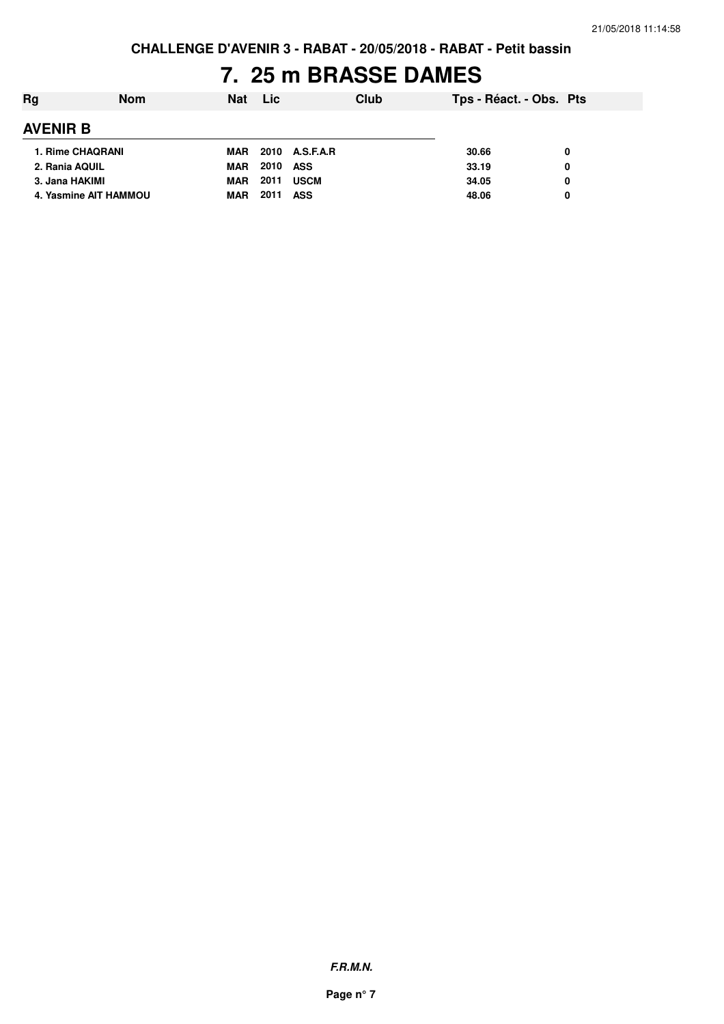# **7. 25 m BRASSE DAMES**

| Rg                    | <b>Nom</b> | <b>Nat</b> | <b>Lic</b> |                | Club | Tps - Réact. - Obs. Pts |   |
|-----------------------|------------|------------|------------|----------------|------|-------------------------|---|
| <b>AVENIR B</b>       |            |            |            |                |      |                         |   |
| 1. Rime CHAQRANI      |            | MAR        |            | 2010 A.S.F.A.R |      | 30.66                   |   |
| 2. Rania AQUIL        |            | MAR        | 2010       | ASS            |      | 33.19                   | 0 |
| 3. Jana HAKIMI        |            | <b>MAR</b> | 2011       | <b>USCM</b>    |      | 34.05                   | 0 |
| 4. Yasmine AIT HAMMOU |            | MAR        | 2011       | <b>ASS</b>     |      | 48.06                   |   |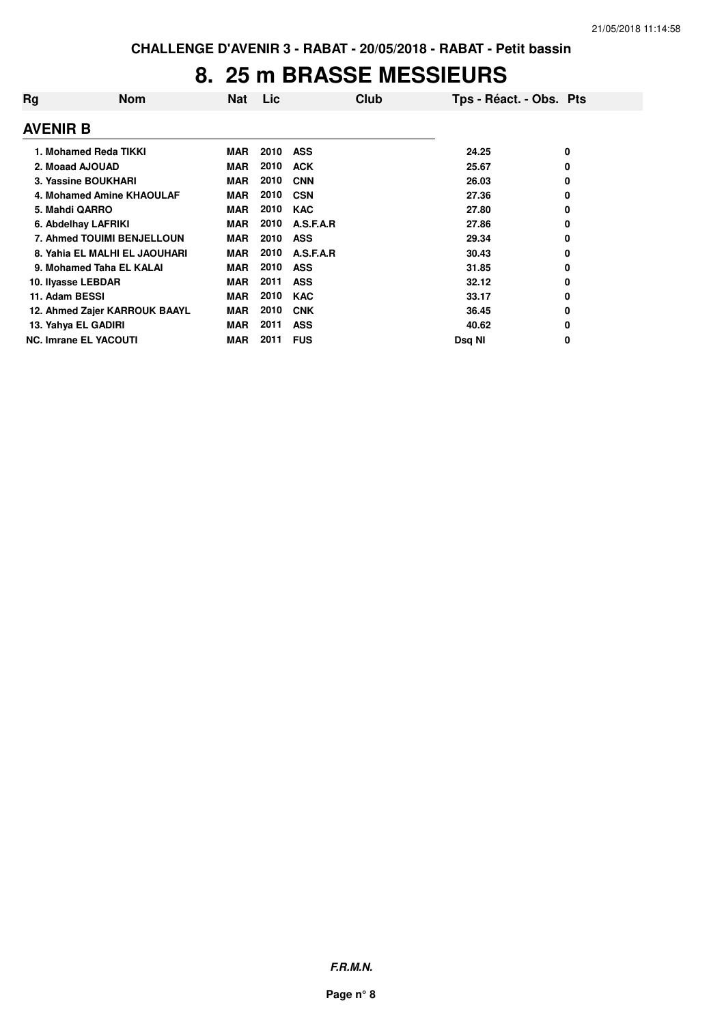#### **8. 25 m BRASSE MESSIEURS**

| Rg                 | <b>Nom</b>                    | Nat        | Lic  | Club       | Tps - Réact. - Obs. Pts |   |
|--------------------|-------------------------------|------------|------|------------|-------------------------|---|
| <b>AVENIR B</b>    |                               |            |      |            |                         |   |
|                    | 1. Mohamed Reda TIKKI         | <b>MAR</b> | 2010 | <b>ASS</b> | 24.25                   | 0 |
| 2. Moaad AJOUAD    |                               | <b>MAR</b> | 2010 | <b>ACK</b> | 25.67                   | 0 |
|                    | 3. Yassine BOUKHARI           | <b>MAR</b> | 2010 | <b>CNN</b> | 26.03                   | 0 |
|                    | 4. Mohamed Amine KHAOULAF     | <b>MAR</b> | 2010 | <b>CSN</b> | 27.36                   | 0 |
| 5. Mahdi QARRO     |                               | <b>MAR</b> | 2010 | <b>KAC</b> | 27.80                   | 0 |
|                    | 6. Abdelhay LAFRIKI           | <b>MAR</b> | 2010 | A.S.F.A.R  | 27.86                   | 0 |
|                    | 7. Ahmed TOUIMI BENJELLOUN    | <b>MAR</b> | 2010 | <b>ASS</b> | 29.34                   | 0 |
|                    | 8. Yahia EL MALHI EL JAOUHARI | <b>MAR</b> | 2010 | A.S.F.A.R  | 30.43                   | 0 |
|                    | 9. Mohamed Taha EL KALAI      | <b>MAR</b> | 2010 | <b>ASS</b> | 31.85                   | 0 |
| 10. Ilyasse LEBDAR |                               | <b>MAR</b> | 2011 | <b>ASS</b> | 32.12                   | 0 |
| 11. Adam BESSI     |                               | <b>MAR</b> | 2010 | <b>KAC</b> | 33.17                   | 0 |
|                    | 12. Ahmed Zajer KARROUK BAAYL | <b>MAR</b> | 2010 | <b>CNK</b> | 36.45                   | 0 |
|                    | 13. Yahya EL GADIRI           | <b>MAR</b> | 2011 | <b>ASS</b> | 40.62                   | 0 |
|                    | <b>NC. Imrane EL YACOUTI</b>  | <b>MAR</b> | 2011 | <b>FUS</b> | Dsg NI                  | 0 |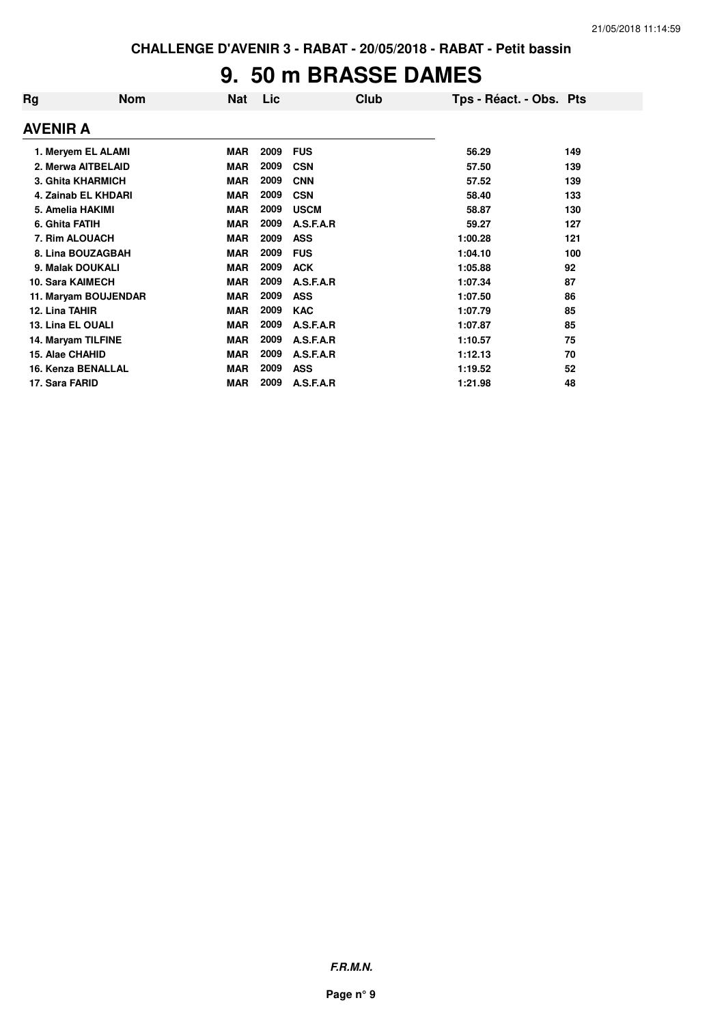# **9. 50 m BRASSE DAMES**

| Rg                      | <b>Nom</b>               | <b>Nat</b> | Lic  | Club        | Tps - Réact. - Obs. Pts |     |
|-------------------------|--------------------------|------------|------|-------------|-------------------------|-----|
| <b>AVENIR A</b>         |                          |            |      |             |                         |     |
|                         | 1. Meryem EL ALAMI       | <b>MAR</b> | 2009 | <b>FUS</b>  | 56.29                   | 149 |
|                         | 2. Merwa AITBELAID       | <b>MAR</b> | 2009 | <b>CSN</b>  | 57.50                   | 139 |
|                         | <b>3. Ghita KHARMICH</b> | <b>MAR</b> | 2009 | <b>CNN</b>  | 57.52                   | 139 |
|                         | 4. Zainab EL KHDARI      | <b>MAR</b> | 2009 | <b>CSN</b>  | 58.40                   | 133 |
| 5. Amelia HAKIMI        |                          | <b>MAR</b> | 2009 | <b>USCM</b> | 58.87                   | 130 |
| 6. Ghita FATIH          |                          | <b>MAR</b> | 2009 | A.S.F.A.R   | 59.27                   | 127 |
| 7. Rim ALOUACH          |                          | MAR        | 2009 | <b>ASS</b>  | 1:00.28                 | 121 |
|                         | 8. Lina BOUZAGBAH        | <b>MAR</b> | 2009 | <b>FUS</b>  | 1:04.10                 | 100 |
| 9. Malak DOUKALI        |                          | <b>MAR</b> | 2009 | <b>ACK</b>  | 1:05.88                 | 92  |
| <b>10. Sara KAIMECH</b> |                          | <b>MAR</b> | 2009 | A.S.F.A.R   | 1:07.34                 | 87  |
|                         | 11. Maryam BOUJENDAR     | <b>MAR</b> | 2009 | <b>ASS</b>  | 1:07.50                 | 86  |
| 12. Lina TAHIR          |                          | <b>MAR</b> | 2009 | <b>KAC</b>  | 1:07.79                 | 85  |
| 13. Lina EL OUALI       |                          | <b>MAR</b> | 2009 | A.S.F.A.R   | 1:07.87                 | 85  |
| 14. Maryam TILFINE      |                          | <b>MAR</b> | 2009 | A.S.F.A.R   | 1:10.57                 | 75  |
| 15. Alae CHAHID         |                          | <b>MAR</b> | 2009 | A.S.F.A.R   | 1:12.13                 | 70  |
|                         | 16. Kenza BENALLAL       | <b>MAR</b> | 2009 | <b>ASS</b>  | 1:19.52                 | 52  |
| 17. Sara FARID          |                          | <b>MAR</b> | 2009 | A.S.F.A.R   | 1:21.98                 | 48  |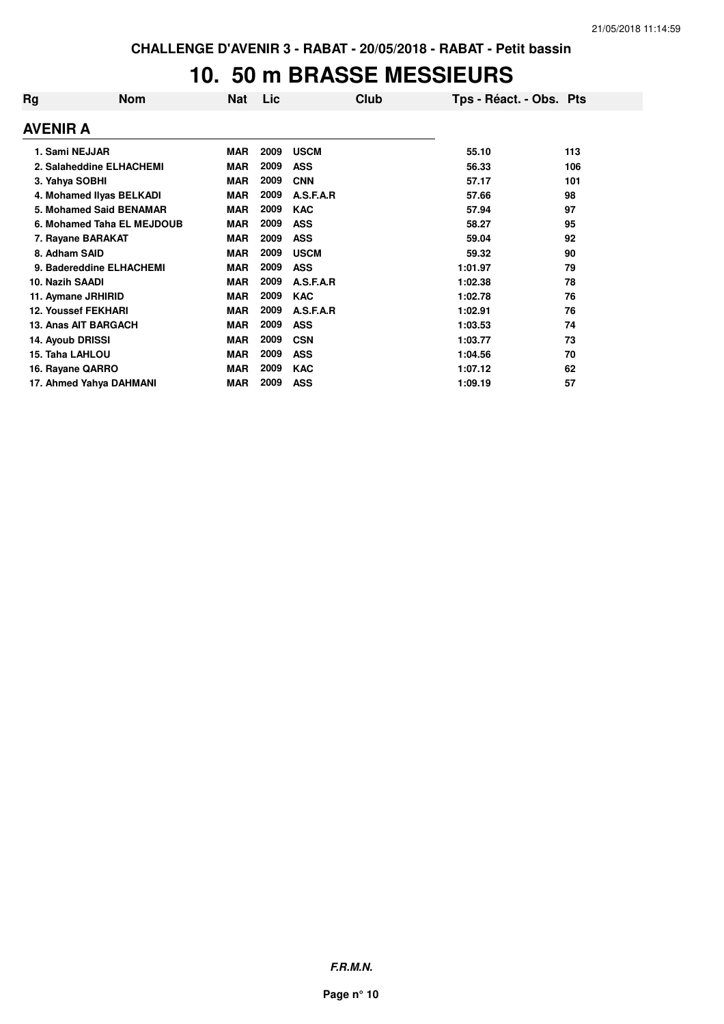### **10. 50 m BRASSE MESSIEURS**

| Rg              | <b>Nom</b>                 | <b>Nat</b> | Lic  | Club        | Tps - Réact. - Obs. Pts |     |
|-----------------|----------------------------|------------|------|-------------|-------------------------|-----|
| AVENIR A        |                            |            |      |             |                         |     |
|                 | 1. Sami NEJJAR             | <b>MAR</b> | 2009 | <b>USCM</b> | 55.10                   | 113 |
|                 | 2. Salaheddine ELHACHEMI   | <b>MAR</b> | 2009 | <b>ASS</b>  | 56.33                   | 106 |
|                 | 3. Yahya SOBHI             | <b>MAR</b> | 2009 | <b>CNN</b>  | 57.17                   | 101 |
|                 | 4. Mohamed Ilyas BELKADI   | <b>MAR</b> | 2009 | A.S.F.A.R   | 57.66                   | 98  |
|                 | 5. Mohamed Said BENAMAR    | <b>MAR</b> | 2009 | <b>KAC</b>  | 57.94                   | 97  |
|                 | 6. Mohamed Taha EL MEJDOUB | <b>MAR</b> | 2009 | <b>ASS</b>  | 58.27                   | 95  |
|                 | 7. Rayane BARAKAT          | <b>MAR</b> | 2009 | <b>ASS</b>  | 59.04                   | 92  |
| 8. Adham SAID   |                            | <b>MAR</b> | 2009 | <b>USCM</b> | 59.32                   | 90  |
|                 | 9. Badereddine ELHACHEMI   | <b>MAR</b> | 2009 | <b>ASS</b>  | 1:01.97                 | 79  |
| 10. Nazih SAADI |                            | <b>MAR</b> | 2009 | A.S.F.A.R   | 1:02.38                 | 78  |
|                 | 11. Aymane JRHIRID         | <b>MAR</b> | 2009 | <b>KAC</b>  | 1:02.78                 | 76  |
|                 | <b>12. Youssef FEKHARI</b> | <b>MAR</b> | 2009 | A.S.F.A.R   | 1:02.91                 | 76  |
|                 | 13. Anas AIT BARGACH       | <b>MAR</b> | 2009 | <b>ASS</b>  | 1:03.53                 | 74  |
|                 | 14. Ayoub DRISSI           | <b>MAR</b> | 2009 | <b>CSN</b>  | 1:03.77                 | 73  |
|                 | 15. Taha LAHLOU            | <b>MAR</b> | 2009 | <b>ASS</b>  | 1:04.56                 | 70  |
|                 | 16. Rayane QARRO           | <b>MAR</b> | 2009 | <b>KAC</b>  | 1:07.12                 | 62  |
|                 | 17. Ahmed Yahya DAHMANI    | <b>MAR</b> | 2009 | <b>ASS</b>  | 1:09.19                 | 57  |

**F.R.M.N.**

**Page n° 10**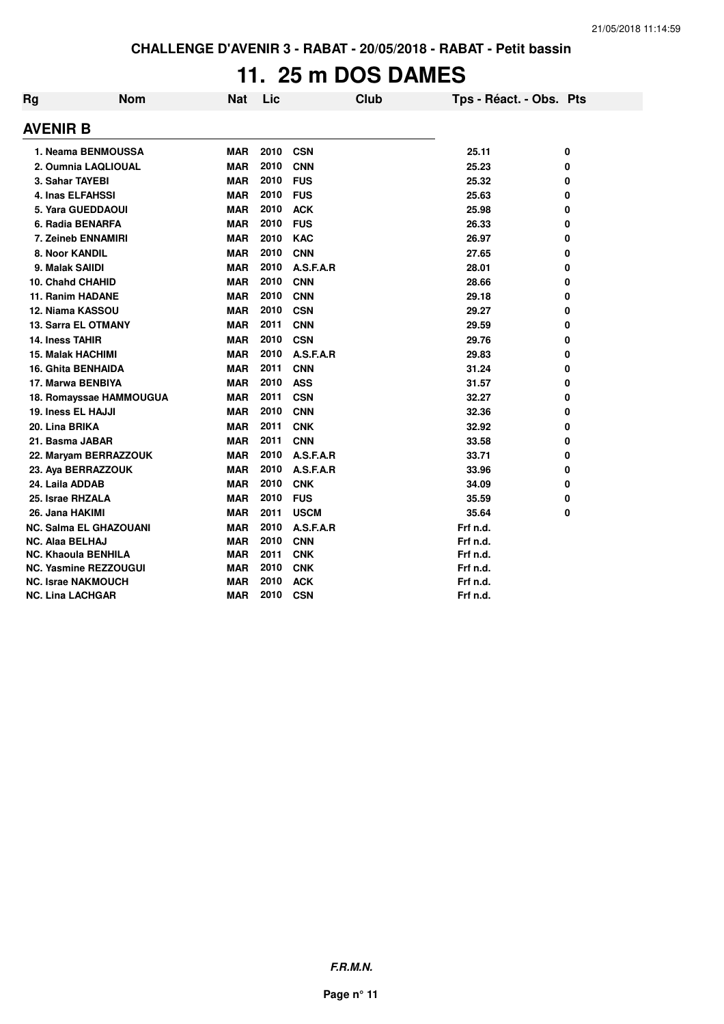# **11. 25 m DOS DAMES**

| Rg                       | <b>Nom</b>                    | <b>Nat</b> | Lic  | Club        |          | Tps - Réact. - Obs. Pts |
|--------------------------|-------------------------------|------------|------|-------------|----------|-------------------------|
| AVENIR B                 |                               |            |      |             |          |                         |
|                          | 1. Neama BENMOUSSA            | <b>MAR</b> | 2010 | <b>CSN</b>  | 25.11    | 0                       |
|                          | 2. Oumnia LAQLIOUAL           | <b>MAR</b> | 2010 | <b>CNN</b>  | 25.23    | 0                       |
| 3. Sahar TAYEBI          |                               | <b>MAR</b> | 2010 | <b>FUS</b>  | 25.32    | 0                       |
|                          | <b>4. Inas ELFAHSSI</b>       | <b>MAR</b> | 2010 | <b>FUS</b>  | 25.63    | 0                       |
|                          | 5. Yara GUEDDAOUI             | <b>MAR</b> | 2010 | <b>ACK</b>  | 25.98    | 0                       |
|                          | 6. Radia BENARFA              | <b>MAR</b> | 2010 | <b>FUS</b>  | 26.33    | 0                       |
|                          | 7. Zeineb ENNAMIRI            | <b>MAR</b> | 2010 | <b>KAC</b>  | 26.97    | 0                       |
| 8. Noor KANDIL           |                               | <b>MAR</b> | 2010 | <b>CNN</b>  | 27.65    | 0                       |
| 9. Malak SAIIDI          |                               | <b>MAR</b> | 2010 | A.S.F.A.R   | 28.01    | 0                       |
| <b>10. Chahd CHAHID</b>  |                               | <b>MAR</b> | 2010 | <b>CNN</b>  | 28.66    | 0                       |
| <b>11. Ranim HADANE</b>  |                               | <b>MAR</b> | 2010 | <b>CNN</b>  | 29.18    | 0                       |
| 12. Niama KASSOU         |                               | <b>MAR</b> | 2010 | <b>CSN</b>  | 29.27    | 0                       |
|                          | <b>13. Sarra EL OTMANY</b>    | <b>MAR</b> | 2011 | <b>CNN</b>  | 29.59    | 0                       |
| 14. Iness TAHIR          |                               | <b>MAR</b> | 2010 | <b>CSN</b>  | 29.76    | 0                       |
| <b>15. Malak HACHIMI</b> |                               | <b>MAR</b> | 2010 | A.S.F.A.R   | 29.83    | 0                       |
|                          | <b>16. Ghita BENHAIDA</b>     | <b>MAR</b> | 2011 | <b>CNN</b>  | 31.24    | 0                       |
|                          | 17. Marwa BENBIYA             | <b>MAR</b> | 2010 | <b>ASS</b>  | 31.57    | 0                       |
|                          | 18. Romayssae HAMMOUGUA       | <b>MAR</b> | 2011 | <b>CSN</b>  | 32.27    | 0                       |
| 19. Iness EL HAJJI       |                               | <b>MAR</b> | 2010 | <b>CNN</b>  | 32.36    | 0                       |
| 20. Lina BRIKA           |                               | <b>MAR</b> | 2011 | <b>CNK</b>  | 32.92    | 0                       |
| 21. Basma JABAR          |                               | <b>MAR</b> | 2011 | <b>CNN</b>  | 33.58    | 0                       |
|                          | 22. Maryam BERRAZZOUK         | <b>MAR</b> | 2010 | A.S.F.A.R   | 33.71    | 0                       |
|                          | 23. Aya BERRAZZOUK            | <b>MAR</b> | 2010 | A.S.F.A.R   | 33.96    | 0                       |
| 24. Laila ADDAB          |                               | <b>MAR</b> | 2010 | <b>CNK</b>  | 34.09    | 0                       |
| 25. Israe RHZALA         |                               | <b>MAR</b> | 2010 | <b>FUS</b>  | 35.59    | 0                       |
| 26. Jana HAKIMI          |                               | <b>MAR</b> | 2011 | <b>USCM</b> | 35.64    | 0                       |
|                          | <b>NC. Salma EL GHAZOUANI</b> | <b>MAR</b> | 2010 | A.S.F.A.R   | Frf n.d. |                         |
| <b>NC. Alaa BELHAJ</b>   |                               | <b>MAR</b> | 2010 | <b>CNN</b>  | Frf n.d. |                         |
|                          | <b>NC. Khaoula BENHILA</b>    | <b>MAR</b> | 2011 | <b>CNK</b>  | Frf n.d. |                         |
|                          | <b>NC. Yasmine REZZOUGUI</b>  | <b>MAR</b> | 2010 | <b>CNK</b>  | Frf n.d. |                         |
|                          | <b>NC. Israe NAKMOUCH</b>     | <b>MAR</b> | 2010 | <b>ACK</b>  | Frf n.d. |                         |
| NC. Lina LACHGAR         |                               | <b>MAR</b> | 2010 | <b>CSN</b>  | Frf n.d. |                         |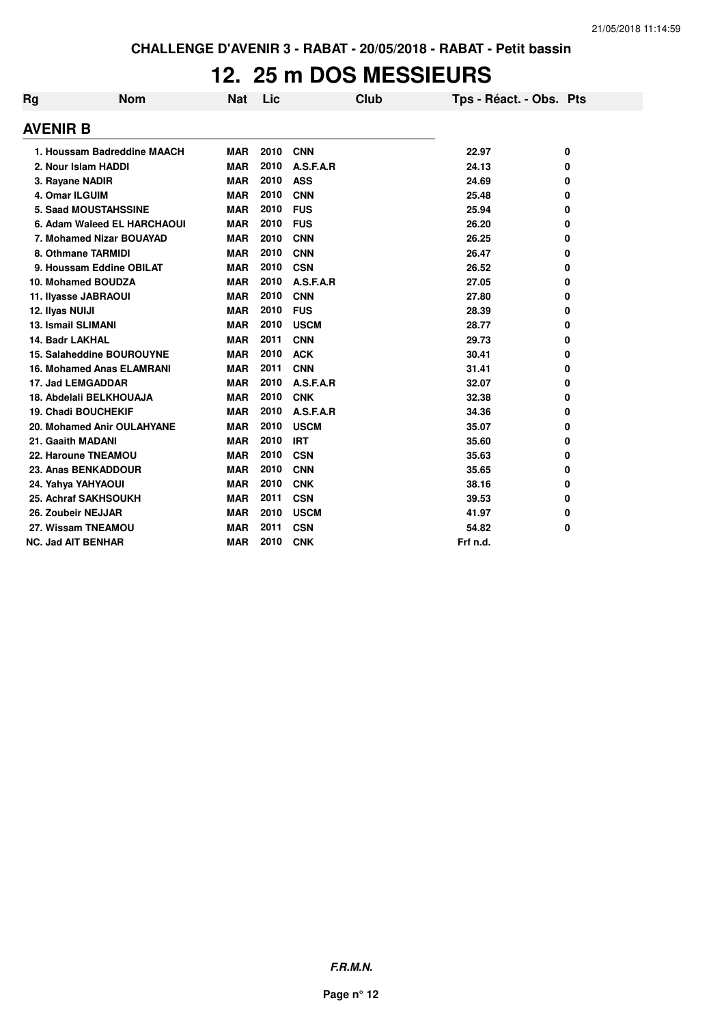### **12. 25 m DOS MESSIEURS**

| Rg              | <b>Nom</b>                       | <b>Nat</b> | Lic  | Club        | Tps - Réact. - Obs. Pts |   |
|-----------------|----------------------------------|------------|------|-------------|-------------------------|---|
| <b>AVENIR B</b> |                                  |            |      |             |                         |   |
|                 | 1. Houssam Badreddine MAACH      | <b>MAR</b> | 2010 | <b>CNN</b>  | 22.97                   | 0 |
|                 | 2. Nour Islam HADDI              | <b>MAR</b> | 2010 | A.S.F.A.R   | 24.13                   | 0 |
|                 | 3. Rayane NADIR                  | <b>MAR</b> | 2010 | <b>ASS</b>  | 24.69                   | 0 |
|                 | 4. Omar ILGUIM                   | <b>MAR</b> | 2010 | <b>CNN</b>  | 25.48                   | 0 |
|                 | <b>5. Saad MOUSTAHSSINE</b>      | <b>MAR</b> | 2010 | <b>FUS</b>  | 25.94                   | 0 |
|                 | 6. Adam Waleed EL HARCHAOUI      | <b>MAR</b> | 2010 | <b>FUS</b>  | 26.20                   | 0 |
|                 | 7. Mohamed Nizar BOUAYAD         | <b>MAR</b> | 2010 | <b>CNN</b>  | 26.25                   | 0 |
|                 | 8. Othmane TARMIDI               | <b>MAR</b> | 2010 | <b>CNN</b>  | 26.47                   | 0 |
|                 | 9. Houssam Eddine OBILAT         | <b>MAR</b> | 2010 | <b>CSN</b>  | 26.52                   | 0 |
|                 | 10. Mohamed BOUDZA               | <b>MAR</b> | 2010 | A.S.F.A.R   | 27.05                   | 0 |
|                 | 11. Ilyasse JABRAOUI             | <b>MAR</b> | 2010 | <b>CNN</b>  | 27.80                   | 0 |
| 12. Ilyas NUIJI |                                  | <b>MAR</b> | 2010 | <b>FUS</b>  | 28.39                   | 0 |
|                 | 13. Ismail SLIMANI               | <b>MAR</b> | 2010 | <b>USCM</b> | 28.77                   | 0 |
|                 | 14. Badr LAKHAL                  | <b>MAR</b> | 2011 | <b>CNN</b>  | 29.73                   | 0 |
|                 | 15. Salaheddine BOUROUYNE        | <b>MAR</b> | 2010 | <b>ACK</b>  | 30.41                   | 0 |
|                 | <b>16. Mohamed Anas ELAMRANI</b> | <b>MAR</b> | 2011 | <b>CNN</b>  | 31.41                   | 0 |
|                 | 17. Jad LEMGADDAR                | <b>MAR</b> | 2010 | A.S.F.A.R   | 32.07                   | 0 |
|                 | 18. Abdelali BELKHOUAJA          | <b>MAR</b> | 2010 | <b>CNK</b>  | 32.38                   | 0 |
|                 | <b>19. Chadi BOUCHEKIF</b>       | <b>MAR</b> | 2010 | A.S.F.A.R   | 34.36                   | 0 |
|                 | 20. Mohamed Anir OULAHYANE       | <b>MAR</b> | 2010 | <b>USCM</b> | 35.07                   | 0 |
|                 | 21. Gaaith MADANI                | <b>MAR</b> | 2010 | <b>IRT</b>  | 35.60                   | 0 |
|                 | 22. Haroune TNEAMOU              | <b>MAR</b> | 2010 | <b>CSN</b>  | 35.63                   | 0 |
|                 | 23. Anas BENKADDOUR              | <b>MAR</b> | 2010 | <b>CNN</b>  | 35.65                   | 0 |
|                 | 24. Yahya YAHYAOUI               | <b>MAR</b> | 2010 | <b>CNK</b>  | 38.16                   | 0 |
|                 | 25. Achraf SAKHSOUKH             | <b>MAR</b> | 2011 | <b>CSN</b>  | 39.53                   | 0 |
|                 | 26. Zoubeir NEJJAR               | <b>MAR</b> | 2010 | <b>USCM</b> | 41.97                   | 0 |
|                 | 27. Wissam TNEAMOU               | <b>MAR</b> | 2011 | <b>CSN</b>  | 54.82                   | 0 |
|                 | <b>NC. Jad AIT BENHAR</b>        | <b>MAR</b> | 2010 | <b>CNK</b>  | Frf n.d.                |   |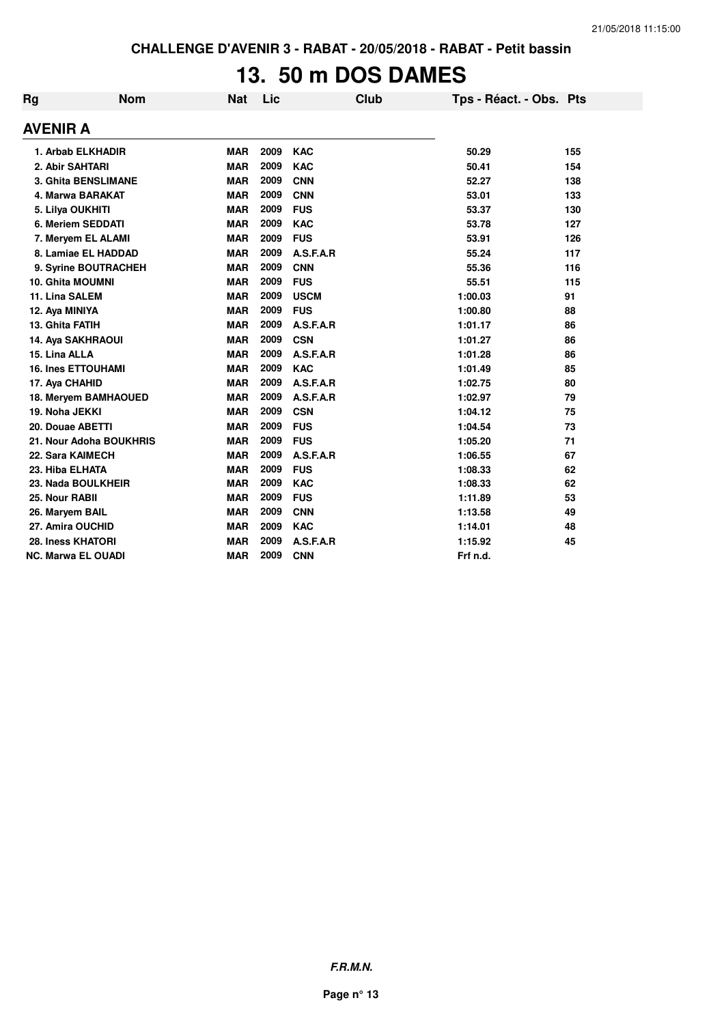# **13. 50 m DOS DAMES**

| Rg                        | <b>Nom</b> | <b>Nat</b> | Lic  | Club        | Tps - Réact. - Obs. Pts |     |
|---------------------------|------------|------------|------|-------------|-------------------------|-----|
| <b>AVENIR A</b>           |            |            |      |             |                         |     |
| 1. Arbab ELKHADIR         |            | <b>MAR</b> | 2009 | <b>KAC</b>  | 50.29                   | 155 |
| 2. Abir SAHTARI           |            | <b>MAR</b> | 2009 | <b>KAC</b>  | 50.41                   | 154 |
| 3. Ghita BENSLIMANE       |            | <b>MAR</b> | 2009 | <b>CNN</b>  | 52.27                   | 138 |
| 4. Marwa BARAKAT          |            | <b>MAR</b> | 2009 | <b>CNN</b>  | 53.01                   | 133 |
| 5. Lilya OUKHITI          |            | <b>MAR</b> | 2009 | <b>FUS</b>  | 53.37                   | 130 |
| 6. Meriem SEDDATI         |            | <b>MAR</b> | 2009 | <b>KAC</b>  | 53.78                   | 127 |
| 7. Meryem EL ALAMI        |            | <b>MAR</b> | 2009 | <b>FUS</b>  | 53.91                   | 126 |
| 8. Lamiae EL HADDAD       |            | <b>MAR</b> | 2009 | A.S.F.A.R   | 55.24                   | 117 |
| 9. Syrine BOUTRACHEH      |            | <b>MAR</b> | 2009 | <b>CNN</b>  | 55.36                   | 116 |
| <b>10. Ghita MOUMNI</b>   |            | <b>MAR</b> | 2009 | <b>FUS</b>  | 55.51                   | 115 |
| 11. Lina SALEM            |            | <b>MAR</b> | 2009 | <b>USCM</b> | 1:00.03                 | 91  |
| 12. Aya MINIYA            |            | <b>MAR</b> | 2009 | <b>FUS</b>  | 1:00.80                 | 88  |
| 13. Ghita FATIH           |            | <b>MAR</b> | 2009 | A.S.F.A.R   | 1:01.17                 | 86  |
| 14. Aya SAKHRAOUI         |            | <b>MAR</b> | 2009 | <b>CSN</b>  | 1:01.27                 | 86  |
| 15. Lina ALLA             |            | <b>MAR</b> | 2009 | A.S.F.A.R   | 1:01.28                 | 86  |
| <b>16. Ines ETTOUHAMI</b> |            | <b>MAR</b> | 2009 | <b>KAC</b>  | 1:01.49                 | 85  |
| 17. Aya CHAHID            |            | <b>MAR</b> | 2009 | A.S.F.A.R   | 1:02.75                 | 80  |
| 18. Meryem BAMHAOUED      |            | <b>MAR</b> | 2009 | A.S.F.A.R   | 1:02.97                 | 79  |
| 19. Noha JEKKI            |            | <b>MAR</b> | 2009 | <b>CSN</b>  | 1:04.12                 | 75  |
| 20. Douae ABETTI          |            | <b>MAR</b> | 2009 | <b>FUS</b>  | 1:04.54                 | 73  |
| 21. Nour Adoha BOUKHRIS   |            | <b>MAR</b> | 2009 | <b>FUS</b>  | 1:05.20                 | 71  |
| 22. Sara KAIMECH          |            | <b>MAR</b> | 2009 | A.S.F.A.R   | 1:06.55                 | 67  |
| 23. Hiba ELHATA           |            | <b>MAR</b> | 2009 | <b>FUS</b>  | 1:08.33                 | 62  |
| 23. Nada BOULKHEIR        |            | <b>MAR</b> | 2009 | <b>KAC</b>  | 1:08.33                 | 62  |
| 25. Nour RABII            |            | <b>MAR</b> | 2009 | <b>FUS</b>  | 1:11.89                 | 53  |
| 26. Maryem BAIL           |            | <b>MAR</b> | 2009 | <b>CNN</b>  | 1:13.58                 | 49  |
| 27. Amira OUCHID          |            | <b>MAR</b> | 2009 | <b>KAC</b>  | 1:14.01                 | 48  |
| 28. Iness KHATORI         |            | <b>MAR</b> | 2009 | A.S.F.A.R   | 1:15.92                 | 45  |
| <b>NC. Marwa EL OUADI</b> |            | <b>MAR</b> | 2009 | <b>CNN</b>  | Frf n.d.                |     |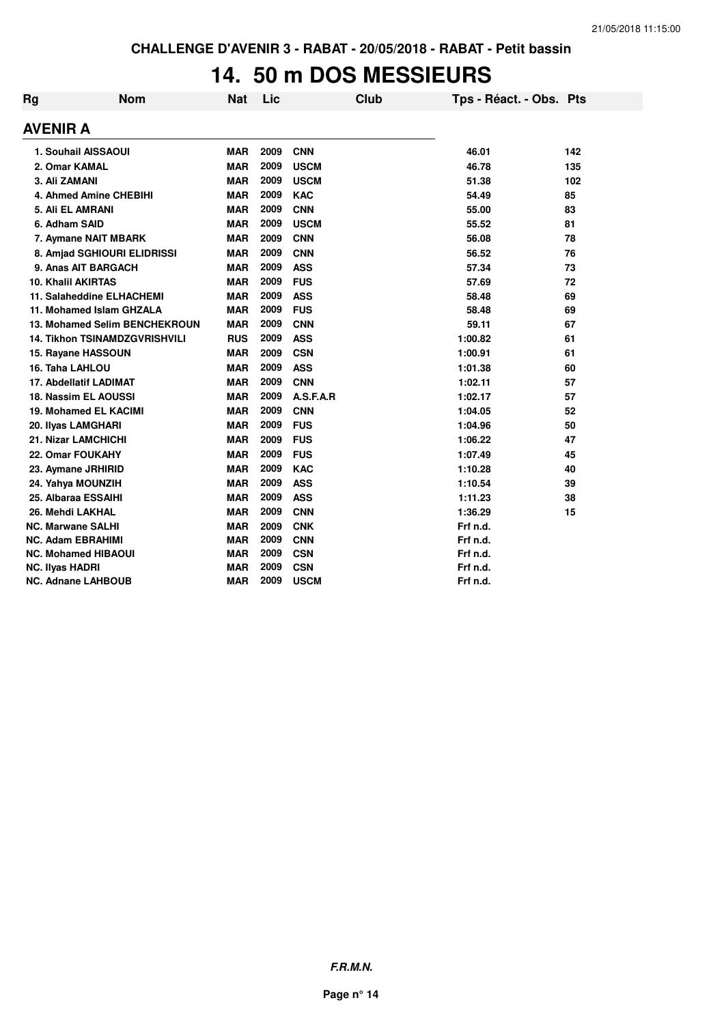### **14. 50 m DOS MESSIEURS**

| Rg                     | <b>Nom</b>                           | <b>Nat</b> | Lic  | <b>Club</b> | Tps - Réact. - Obs. Pts |     |
|------------------------|--------------------------------------|------------|------|-------------|-------------------------|-----|
| <b>AVENIR A</b>        |                                      |            |      |             |                         |     |
|                        | 1. Souhail AISSAOUI                  | <b>MAR</b> | 2009 | <b>CNN</b>  | 46.01                   | 142 |
|                        | 2. Omar KAMAL                        | <b>MAR</b> | 2009 | <b>USCM</b> | 46.78                   | 135 |
| 3. Ali ZAMANI          |                                      | <b>MAR</b> | 2009 | <b>USCM</b> | 51.38                   | 102 |
|                        | 4. Ahmed Amine CHEBIHI               | <b>MAR</b> | 2009 | <b>KAC</b>  | 54.49                   | 85  |
|                        | 5. Ali EL AMRANI                     | <b>MAR</b> | 2009 | <b>CNN</b>  | 55.00                   | 83  |
| 6. Adham SAID          |                                      | <b>MAR</b> | 2009 | <b>USCM</b> | 55.52                   | 81  |
|                        | 7. Aymane NAIT MBARK                 | <b>MAR</b> | 2009 | <b>CNN</b>  | 56.08                   | 78  |
|                        | 8. Amjad SGHIOURI ELIDRISSI          | <b>MAR</b> | 2009 | <b>CNN</b>  | 56.52                   | 76  |
|                        | 9. Anas AIT BARGACH                  | <b>MAR</b> | 2009 | <b>ASS</b>  | 57.34                   | 73  |
|                        | <b>10. Khalil AKIRTAS</b>            | <b>MAR</b> | 2009 | <b>FUS</b>  | 57.69                   | 72  |
|                        | 11. Salaheddine ELHACHEMI            | <b>MAR</b> | 2009 | <b>ASS</b>  | 58.48                   | 69  |
|                        | 11. Mohamed Islam GHZALA             | <b>MAR</b> | 2009 | <b>FUS</b>  | 58.48                   | 69  |
|                        | 13. Mohamed Selim BENCHEKROUN        | <b>MAR</b> | 2009 | <b>CNN</b>  | 59.11                   | 67  |
|                        | <b>14. Tikhon TSINAMDZGVRISHVILI</b> | <b>RUS</b> | 2009 | <b>ASS</b>  | 1:00.82                 | 61  |
|                        | 15. Rayane HASSOUN                   | <b>MAR</b> | 2009 | <b>CSN</b>  | 1:00.91                 | 61  |
| 16. Taha LAHLOU        |                                      | <b>MAR</b> | 2009 | <b>ASS</b>  | 1:01.38                 | 60  |
|                        | 17. Abdellatif LADIMAT               | <b>MAR</b> | 2009 | <b>CNN</b>  | 1:02.11                 | 57  |
|                        | 18. Nassim EL AOUSSI                 | <b>MAR</b> | 2009 | A.S.F.A.R   | 1:02.17                 | 57  |
|                        | 19. Mohamed EL KACIMI                | <b>MAR</b> | 2009 | <b>CNN</b>  | 1:04.05                 | 52  |
|                        | 20. Ilyas LAMGHARI                   | <b>MAR</b> | 2009 | <b>FUS</b>  | 1:04.96                 | 50  |
|                        | 21. Nizar LAMCHICHI                  | <b>MAR</b> | 2009 | <b>FUS</b>  | 1:06.22                 | 47  |
|                        | 22. Omar FOUKAHY                     | <b>MAR</b> | 2009 | <b>FUS</b>  | 1:07.49                 | 45  |
|                        | 23. Aymane JRHIRID                   | <b>MAR</b> | 2009 | <b>KAC</b>  | 1:10.28                 | 40  |
|                        | 24. Yahya MOUNZIH                    | <b>MAR</b> | 2009 | <b>ASS</b>  | 1:10.54                 | 39  |
|                        | 25. Albaraa ESSAIHI                  | <b>MAR</b> | 2009 | <b>ASS</b>  | 1:11.23                 | 38  |
|                        | 26. Mehdi LAKHAL                     | <b>MAR</b> | 2009 | <b>CNN</b>  | 1:36.29                 | 15  |
|                        | <b>NC. Marwane SALHI</b>             | <b>MAR</b> | 2009 | <b>CNK</b>  | Frf n.d.                |     |
|                        | <b>NC. Adam EBRAHIMI</b>             | <b>MAR</b> | 2009 | <b>CNN</b>  | Frf n.d.                |     |
|                        | <b>NC. Mohamed HIBAOUI</b>           | <b>MAR</b> | 2009 | <b>CSN</b>  | Frf n.d.                |     |
| <b>NC. Ilyas HADRI</b> |                                      | <b>MAR</b> | 2009 | <b>CSN</b>  | Frf n.d.                |     |
|                        | <b>NC. Adnane LAHBOUB</b>            | <b>MAR</b> | 2009 | <b>USCM</b> | Frf n.d.                |     |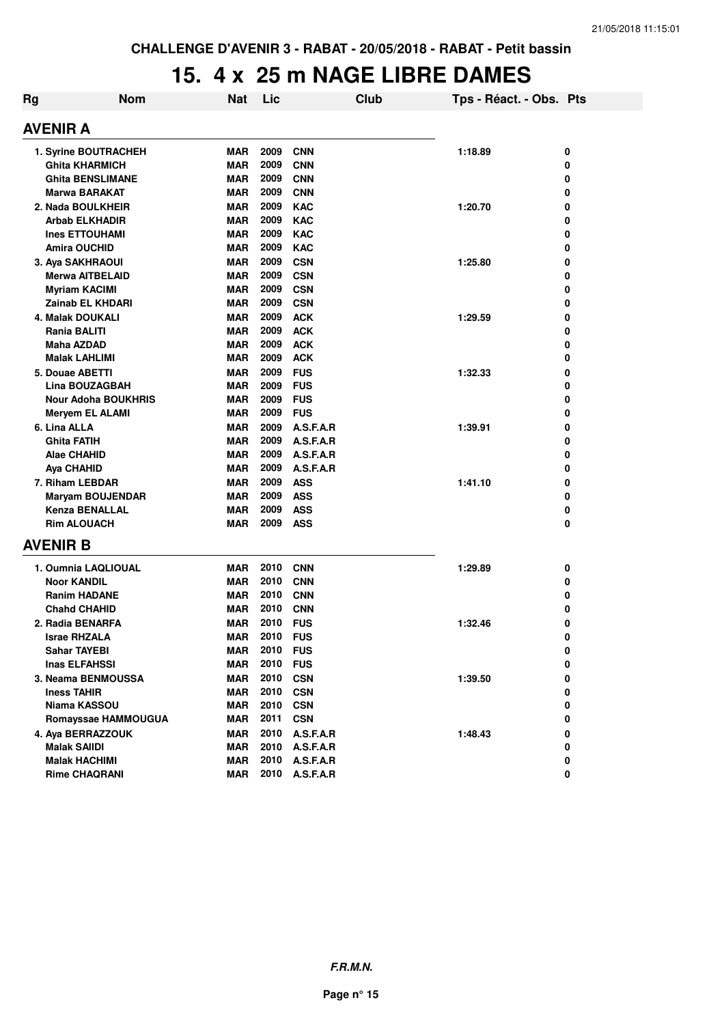### **15. 4 x 25 m NAGE LIBRE DAMES**

| Rg | <b>Nom</b>                 | Nat        | Lic      |            | <b>Club</b> | Tps - Réact. - Obs. Pts |   |
|----|----------------------------|------------|----------|------------|-------------|-------------------------|---|
|    | <b>AVENIR A</b>            |            |          |            |             |                         |   |
|    | 1. Syrine BOUTRACHEH       | <b>MAR</b> | 2009     | <b>CNN</b> |             | 1:18.89                 | 0 |
|    | <b>Ghita KHARMICH</b>      | <b>MAR</b> | 2009     | <b>CNN</b> |             |                         | 0 |
|    | <b>Ghita BENSLIMANE</b>    | <b>MAR</b> | 2009     | <b>CNN</b> |             |                         | 0 |
|    | <b>Marwa BARAKAT</b>       |            | 2009     | <b>CNN</b> |             |                         | 0 |
|    | 2. Nada BOULKHEIR          | MAR        | 2009     | <b>KAC</b> |             | 1:20.70                 | 0 |
|    | <b>Arbab ELKHADIR</b>      | MAR        | 2009     | <b>KAC</b> |             |                         | 0 |
|    | <b>Ines ETTOUHAMI</b>      | <b>MAR</b> | 2009     | <b>KAC</b> |             |                         | 0 |
|    | <b>Amira OUCHID</b>        | <b>MAR</b> | 2009     | <b>KAC</b> |             |                         | 0 |
|    | 3. Aya SAKHRAOUI           | <b>MAR</b> | 2009     | <b>CSN</b> |             | 1:25.80                 | 0 |
|    | <b>Merwa AITBELAID</b>     | <b>MAR</b> | 2009     | <b>CSN</b> |             |                         | 0 |
|    | Myriam KACIMI              | <b>MAR</b> | 2009     | <b>CSN</b> |             |                         | 0 |
|    | Zainab EL KHDARI           | <b>MAR</b> | 2009     | <b>CSN</b> |             |                         | 0 |
|    | 4. Malak DOUKALI           | <b>MAR</b> | 2009     | <b>ACK</b> |             | 1:29.59                 | 0 |
|    | Rania BALITI               | MAR        | 2009     | <b>ACK</b> |             |                         | 0 |
|    | <b>Maha AZDAD</b>          | MAR        | 2009     | <b>ACK</b> |             |                         | 0 |
|    | <b>Malak LAHLIMI</b>       | MAR        | 2009     | <b>ACK</b> |             |                         | 0 |
|    | 5. Douae ABETTI            | <b>MAR</b> | 2009     | <b>FUS</b> |             | 1:32.33                 | 0 |
|    | Lina BOUZAGBAH             | <b>MAR</b> | 2009     | <b>FUS</b> |             |                         | 0 |
|    | <b>Nour Adoha BOUKHRIS</b> | <b>MAR</b> | 2009     | <b>FUS</b> |             |                         | 0 |
|    | <b>Meryem EL ALAMI</b>     | <b>MAR</b> | 2009     | <b>FUS</b> |             |                         | 0 |
|    | 6. Lina ALLA               | MAR        | 2009     | A.S.F.A.R  |             | 1:39.91                 | 0 |
|    | <b>Ghita FATIH</b>         | <b>MAR</b> | 2009     | A.S.F.A.R  |             |                         | 0 |
|    | Alae CHAHID                | MAR        | 2009     | A.S.F.A.R  |             |                         | 0 |
|    | <b>Aya CHAHID</b>          | MAR        | 2009     | A.S.F.A.R  |             |                         | 0 |
|    | 7. Riham LEBDAR            | <b>MAR</b> | 2009     | <b>ASS</b> |             | 1:41.10                 | 0 |
|    | <b>Maryam BOUJENDAR</b>    | <b>MAR</b> | 2009     | <b>ASS</b> |             |                         | 0 |
|    | <b>Kenza BENALLAL</b>      | <b>MAR</b> | 2009     | <b>ASS</b> |             |                         | 0 |
|    | <b>Rim ALOUACH</b>         | MAR        | 2009     | <b>ASS</b> |             |                         | 0 |
|    | <b>AVENIR B</b>            |            |          |            |             |                         |   |
|    |                            |            |          |            |             |                         |   |
|    | 1. Oumnia LAQLIOUAL        | <b>MAR</b> | 2010     | <b>CNN</b> |             | 1:29.89                 | 0 |
|    | <b>Noor KANDIL</b>         | <b>MAR</b> | 2010     | <b>CNN</b> |             |                         | 0 |
|    | <b>Ranim HADANE</b>        | MAR        | 2010     | <b>CNN</b> |             |                         | 0 |
|    | <b>Chahd CHAHID</b>        | <b>MAR</b> | 2010     | <b>CNN</b> |             |                         | 0 |
|    | 2. Radia BENARFA           | MAR        | 2010     | <b>FUS</b> |             | 1:32.46                 | 0 |
|    | <b>Israe RHZALA</b>        | <b>MAR</b> | 2010 FUS |            |             |                         | 0 |
|    | <b>Sahar TAYEBI</b>        | <b>MAR</b> | 2010 FUS |            |             |                         | 0 |
|    | <b>Inas ELFAHSSI</b>       | <b>MAR</b> | 2010     | <b>FUS</b> |             |                         | 0 |
|    | 3. Neama BENMOUSSA         | MAR        | 2010     | <b>CSN</b> |             | 1:39.50                 | 0 |
|    | <b>Iness TAHIR</b>         | MAR        | 2010     | <b>CSN</b> |             |                         | 0 |
|    | Niama KASSOU               | MAR        | 2010     | <b>CSN</b> |             |                         | 0 |
|    | Romayssae HAMMOUGUA        | <b>MAR</b> | 2011     | <b>CSN</b> |             |                         | 0 |
|    | 4. Aya BERRAZZOUK          | <b>MAR</b> | 2010     | A.S.F.A.R  |             | 1:48.43                 | 0 |
|    | <b>Malak SAIIDI</b>        | MAR        | 2010     | A.S.F.A.R  |             |                         | 0 |
|    | <b>Malak HACHIMI</b>       | MAR        | 2010     | A.S.F.A.R  |             |                         | 0 |
|    | <b>Rime CHAQRANI</b>       | MAR        | 2010     | A.S.F.A.R  |             |                         | 0 |